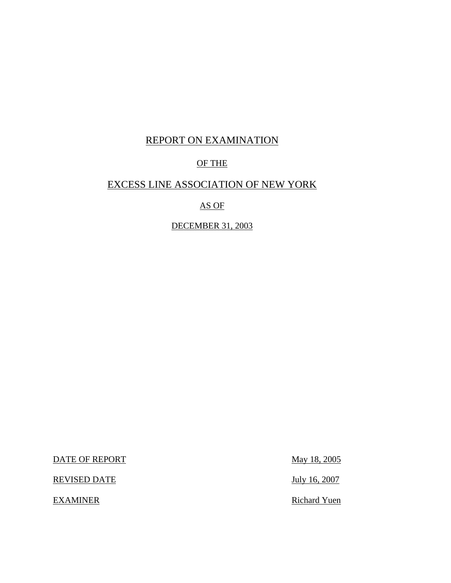# REPORT ON EXAMINATION

# OF THE

## EXCESS LINE ASSOCIATION OF NEW YORK

AS OF

DECEMBER 31, 2003

DATE OF REPORT May 18, 2005

REVISED DATE July 16, 2007

EXAMINER Richard Yuen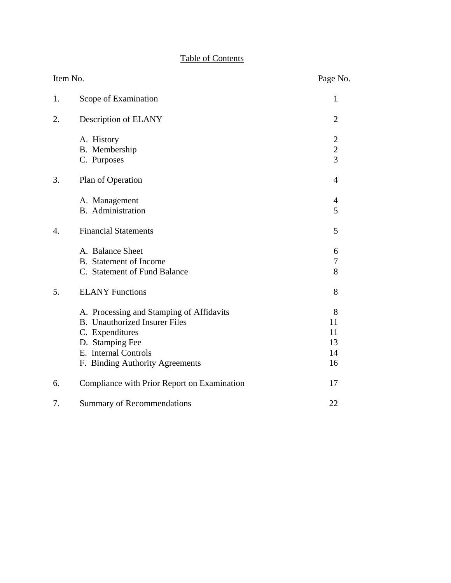# Table of Contents

| Item No. |                                             | Page No.       |
|----------|---------------------------------------------|----------------|
| 1.       | Scope of Examination                        | 1              |
| 2.       | Description of ELANY                        | $\overline{2}$ |
|          | A. History                                  | $\overline{c}$ |
|          | B. Membership                               | $\frac{2}{3}$  |
|          | C. Purposes                                 |                |
| 3.       | Plan of Operation                           | $\overline{4}$ |
|          | A. Management                               | 4              |
|          | <b>B.</b> Administration                    | 5              |
| 4.       | <b>Financial Statements</b>                 | 5              |
|          | A. Balance Sheet                            | 6              |
|          | <b>B.</b> Statement of Income               | 7              |
|          | C. Statement of Fund Balance                | 8              |
| 5.       | <b>ELANY Functions</b>                      | 8              |
|          | A. Processing and Stamping of Affidavits    | 8              |
|          | <b>B.</b> Unauthorized Insurer Files        | 11             |
|          | C. Expenditures                             | 11             |
|          | D. Stamping Fee                             | 13             |
|          | E. Internal Controls                        | 14             |
|          | F. Binding Authority Agreements             | 16             |
| 6.       | Compliance with Prior Report on Examination | 17             |
| 7.       | <b>Summary of Recommendations</b>           | 22             |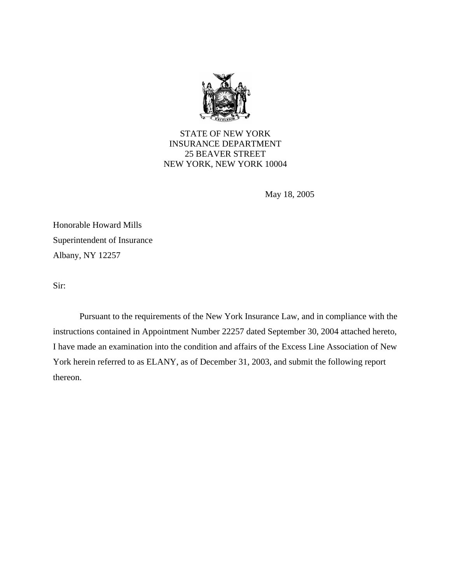

STATE OF NEW YORK INSURANCE DEPARTMENT 25 BEAVER STREET NEW YORK, NEW YORK 10004

May 18, 2005

Honorable Howard Mills Superintendent of Insurance Albany, NY 12257

Sir:

Pursuant to the requirements of the New York Insurance Law, and in compliance with the instructions contained in Appointment Number 22257 dated September 30, 2004 attached hereto, I have made an examination into the condition and affairs of the Excess Line Association of New York herein referred to as ELANY, as of December 31, 2003, and submit the following report thereon.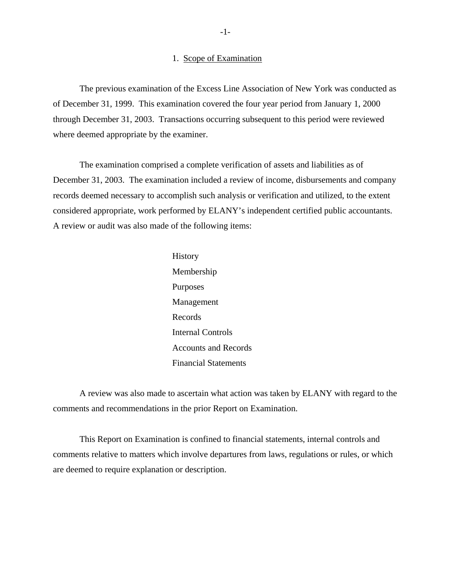#### 1. Scope of Examination

The previous examination of the Excess Line Association of New York was conducted as of December 31, 1999. This examination covered the four year period from January 1, 2000 through December 31, 2003. Transactions occurring subsequent to this period were reviewed where deemed appropriate by the examiner.

The examination comprised a complete verification of assets and liabilities as of December 31, 2003. The examination included a review of income, disbursements and company records deemed necessary to accomplish such analysis or verification and utilized, to the extent considered appropriate, work performed by ELANY's independent certified public accountants. A review or audit was also made of the following items:

> History Membership Purposes Management Records Internal Controls Accounts and Records Financial Statements

A review was also made to ascertain what action was taken by ELANY with regard to the comments and recommendations in the prior Report on Examination.

This Report on Examination is confined to financial statements, internal controls and comments relative to matters which involve departures from laws, regulations or rules, or which are deemed to require explanation or description.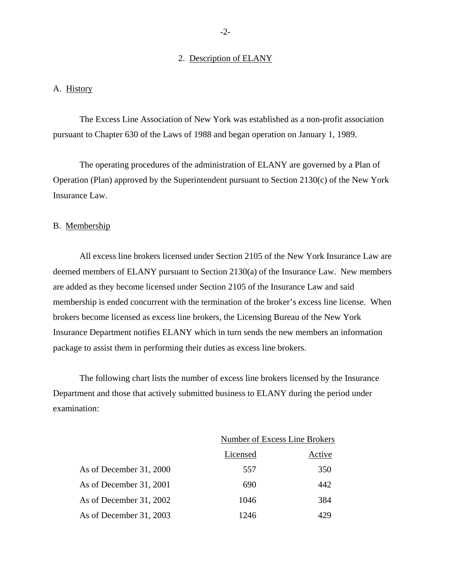#### 2. Description of ELANY

#### A. History

The Excess Line Association of New York was established as a non-profit association pursuant to Chapter 630 of the Laws of 1988 and began operation on January 1, 1989.

The operating procedures of the administration of ELANY are governed by a Plan of Operation (Plan) approved by the Superintendent pursuant to Section 2130(c) of the New York Insurance Law.

#### B. Membership

All excess line brokers licensed under Section 2105 of the New York Insurance Law are deemed members of ELANY pursuant to Section 2130(a) of the Insurance Law. New members are added as they become licensed under Section 2105 of the Insurance Law and said membership is ended concurrent with the termination of the broker's excess line license. When brokers become licensed as excess line brokers, the Licensing Bureau of the New York Insurance Department notifies ELANY which in turn sends the new members an information package to assist them in performing their duties as excess line brokers.

The following chart lists the number of excess line brokers licensed by the Insurance Department and those that actively submitted business to ELANY during the period under examination:

|                         | Number of Excess Line Brokers |        |
|-------------------------|-------------------------------|--------|
|                         | Licensed                      | Active |
| As of December 31, 2000 | 557                           | 350    |
| As of December 31, 2001 | 690                           | 442    |
| As of December 31, 2002 | 1046                          | 384    |
| As of December 31, 2003 | 1246                          |        |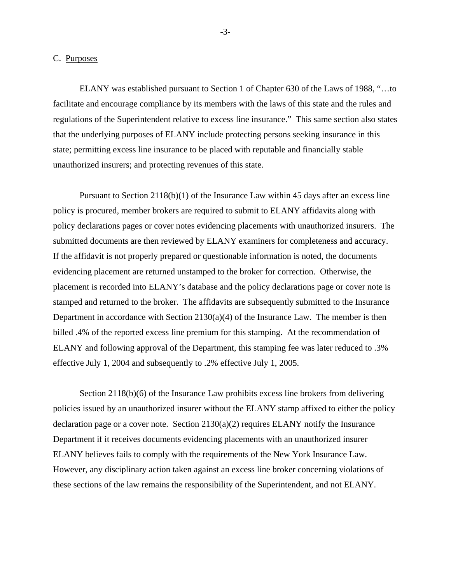#### C. Purposes

ELANY was established pursuant to Section 1 of Chapter 630 of the Laws of 1988, "…to facilitate and encourage compliance by its members with the laws of this state and the rules and regulations of the Superintendent relative to excess line insurance." This same section also states that the underlying purposes of ELANY include protecting persons seeking insurance in this state; permitting excess line insurance to be placed with reputable and financially stable unauthorized insurers; and protecting revenues of this state.

Pursuant to Section 2118(b)(1) of the Insurance Law within 45 days after an excess line policy is procured, member brokers are required to submit to ELANY affidavits along with policy declarations pages or cover notes evidencing placements with unauthorized insurers. The submitted documents are then reviewed by ELANY examiners for completeness and accuracy. If the affidavit is not properly prepared or questionable information is noted, the documents evidencing placement are returned unstamped to the broker for correction. Otherwise, the placement is recorded into ELANY's database and the policy declarations page or cover note is stamped and returned to the broker. The affidavits are subsequently submitted to the Insurance Department in accordance with Section  $2130(a)(4)$  of the Insurance Law. The member is then billed .4% of the reported excess line premium for this stamping. At the recommendation of ELANY and following approval of the Department, this stamping fee was later reduced to .3% effective July 1, 2004 and subsequently to .2% effective July 1, 2005.

Section 2118(b)(6) of the Insurance Law prohibits excess line brokers from delivering policies issued by an unauthorized insurer without the ELANY stamp affixed to either the policy declaration page or a cover note. Section  $2130(a)(2)$  requires ELANY notify the Insurance Department if it receives documents evidencing placements with an unauthorized insurer ELANY believes fails to comply with the requirements of the New York Insurance Law. However, any disciplinary action taken against an excess line broker concerning violations of these sections of the law remains the responsibility of the Superintendent, and not ELANY.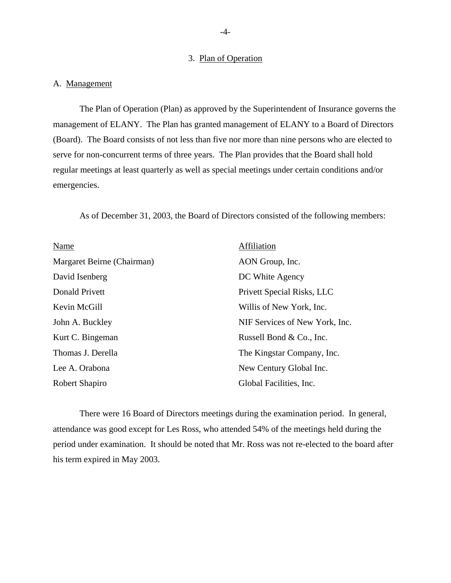#### 3. Plan of Operation

#### A. Management

The Plan of Operation (Plan) as approved by the Superintendent of Insurance governs the management of ELANY. The Plan has granted management of ELANY to a Board of Directors (Board). The Board consists of not less than five nor more than nine persons who are elected to serve for non-concurrent terms of three years. The Plan provides that the Board shall hold regular meetings at least quarterly as well as special meetings under certain conditions and/or emergencies.

As of December 31, 2003, the Board of Directors consisted of the following members:

| Name                       | Affiliation                    |
|----------------------------|--------------------------------|
| Margaret Beirne (Chairman) | AON Group, Inc.                |
| David Isenberg             | DC White Agency                |
| Donald Privett             | Privett Special Risks, LLC     |
| Kevin McGill               | Willis of New York, Inc.       |
| John A. Buckley            | NIF Services of New York, Inc. |
| Kurt C. Bingeman           | Russell Bond & Co., Inc.       |
| Thomas J. Derella          | The Kingstar Company, Inc.     |
| Lee A. Orabona             | New Century Global Inc.        |
| Robert Shapiro             | Global Facilities, Inc.        |

There were 16 Board of Directors meetings during the examination period. In general, attendance was good except for Les Ross, who attended 54% of the meetings held during the period under examination. It should be noted that Mr. Ross was not re-elected to the board after his term expired in May 2003.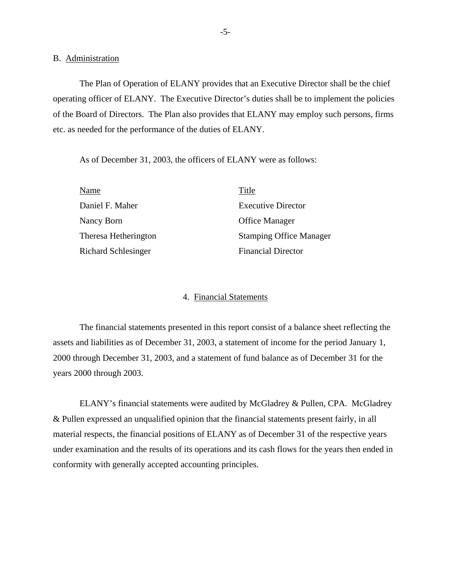#### B. Administration

The Plan of Operation of ELANY provides that an Executive Director shall be the chief operating officer of ELANY. The Executive Director's duties shall be to implement the policies of the Board of Directors. The Plan also provides that ELANY may employ such persons, firms etc. as needed for the performance of the duties of ELANY.

As of December 31, 2003, the officers of ELANY were as follows:

| Name                 | Title                          |
|----------------------|--------------------------------|
| Daniel F. Maher      | <b>Executive Director</b>      |
| Nancy Born           | <b>Office Manager</b>          |
| Theresa Hetherington | <b>Stamping Office Manager</b> |
| Richard Schlesinger  | <b>Financial Director</b>      |

#### 4. Financial Statements

The financial statements presented in this report consist of a balance sheet reflecting the assets and liabilities as of December 31, 2003, a statement of income for the period January 1, 2000 through December 31, 2003, and a statement of fund balance as of December 31 for the years 2000 through 2003.

ELANY's financial statements were audited by McGladrey & Pullen, CPA. McGladrey & Pullen expressed an unqualified opinion that the financial statements present fairly, in all material respects, the financial positions of ELANY as of December 31 of the respective years under examination and the results of its operations and its cash flows for the years then ended in conformity with generally accepted accounting principles.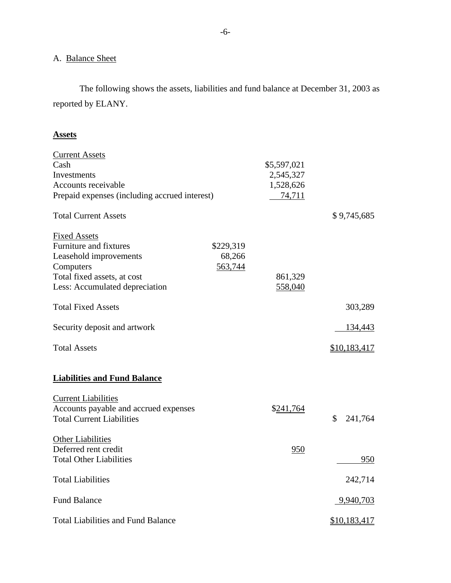# A. Balance Sheet

The following shows the assets, liabilities and fund balance at December 31, 2003 as reported by ELANY.

#### **Assets**

| <b>Current Assets</b>                         |           |             |               |
|-----------------------------------------------|-----------|-------------|---------------|
| Cash                                          |           | \$5,597,021 |               |
| Investments                                   |           | 2,545,327   |               |
| Accounts receivable                           |           | 1,528,626   |               |
| Prepaid expenses (including accrued interest) |           | 74,711      |               |
| <b>Total Current Assets</b>                   |           |             | \$9,745,685   |
| <b>Fixed Assets</b>                           |           |             |               |
| Furniture and fixtures                        | \$229,319 |             |               |
| Leasehold improvements                        | 68,266    |             |               |
| Computers                                     | 563,744   |             |               |
| Total fixed assets, at cost                   |           | 861,329     |               |
| Less: Accumulated depreciation                |           | 558,040     |               |
| <b>Total Fixed Assets</b>                     |           |             | 303,289       |
| Security deposit and artwork                  |           |             | 134,443       |
| <b>Total Assets</b>                           |           |             | \$10,183,417  |
| <b>Liabilities and Fund Balance</b>           |           |             |               |
| <b>Current Liabilities</b>                    |           |             |               |
| Accounts payable and accrued expenses         |           | \$241,764   |               |
| <b>Total Current Liabilities</b>              |           |             | \$<br>241,764 |
| Other Liabilities                             |           |             |               |
| Deferred rent credit                          |           | 950         |               |
| <b>Total Other Liabilities</b>                |           |             | 950           |
| <b>Total Liabilities</b>                      |           |             | 242,714       |
| <b>Fund Balance</b>                           |           |             | 9,940,703     |
| <b>Total Liabilities and Fund Balance</b>     |           |             | \$10,183,417  |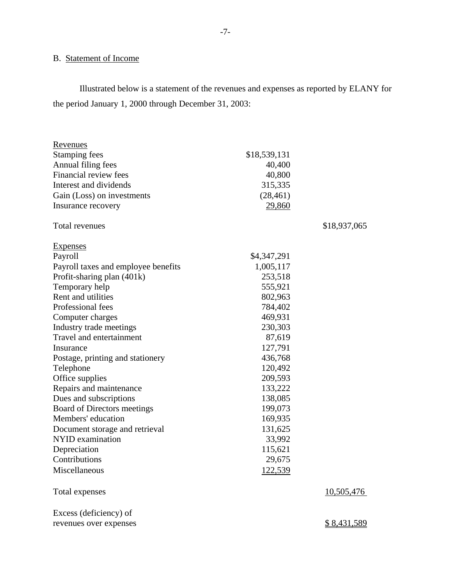# B. Statement of Income

Illustrated below is a statement of the revenues and expenses as reported by ELANY for the period January 1, 2000 through December 31, 2003:

| Revenues                            |              |              |
|-------------------------------------|--------------|--------------|
| <b>Stamping fees</b>                | \$18,539,131 |              |
| Annual filing fees                  | 40,400       |              |
| <b>Financial review fees</b>        | 40,800       |              |
| Interest and dividends              | 315,335      |              |
| Gain (Loss) on investments          | (28, 461)    |              |
| Insurance recovery                  | 29,860       |              |
| Total revenues                      |              | \$18,937,065 |
| Expenses                            |              |              |
| Payroll                             | \$4,347,291  |              |
| Payroll taxes and employee benefits | 1,005,117    |              |
| Profit-sharing plan (401k)          | 253,518      |              |
| Temporary help                      | 555,921      |              |
| Rent and utilities                  | 802,963      |              |
| Professional fees                   | 784,402      |              |
| Computer charges                    | 469,931      |              |
| Industry trade meetings             | 230,303      |              |
| Travel and entertainment            | 87,619       |              |
| Insurance                           | 127,791      |              |
| Postage, printing and stationery    | 436,768      |              |
| Telephone                           | 120,492      |              |
| Office supplies                     | 209,593      |              |
| Repairs and maintenance             | 133,222      |              |
| Dues and subscriptions              | 138,085      |              |
| Board of Directors meetings         | 199,073      |              |
| Members' education                  | 169,935      |              |
| Document storage and retrieval      | 131,625      |              |
| <b>NYID</b> examination             | 33,992       |              |
| Depreciation                        | 115,621      |              |
| Contributions                       | 29,675       |              |
| Miscellaneous                       | 122,539      |              |
| Total expenses                      |              | 10,505,476   |
| Excess (deficiency) of              |              |              |
| revenues over expenses              |              | \$8,431,589  |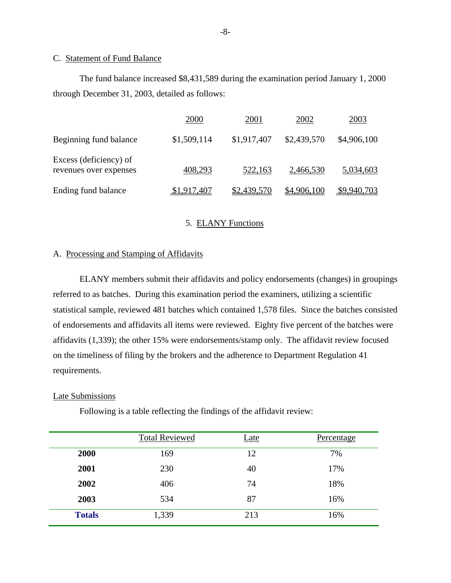#### C. Statement of Fund Balance

The fund balance increased \$8,431,589 during the examination period January 1, 2000 through December 31, 2003, detailed as follows:

|                                                  | 2000        | 2001        | 2002        | 2003        |
|--------------------------------------------------|-------------|-------------|-------------|-------------|
| Beginning fund balance                           | \$1,509,114 | \$1,917,407 | \$2,439,570 | \$4,906,100 |
| Excess (deficiency) of<br>revenues over expenses | 408,293     | 522,163     | 2,466,530   | 5,034,603   |
| Ending fund balance                              | \$1,917,407 | \$2,439,570 | \$4,906,100 | \$9,940,703 |

#### 5. ELANY Functions

#### A. Processing and Stamping of Affidavits

ELANY members submit their affidavits and policy endorsements (changes) in groupings referred to as batches. During this examination period the examiners, utilizing a scientific statistical sample, reviewed 481 batches which contained 1,578 files. Since the batches consisted of endorsements and affidavits all items were reviewed. Eighty five percent of the batches were affidavits (1,339); the other 15% were endorsements/stamp only. The affidavit review focused on the timeliness of filing by the brokers and the adherence to Department Regulation 41 requirements.

#### Late Submissions

Following is a table reflecting the findings of the affidavit review:

|               | <b>Total Reviewed</b> | <u>Late</u> | Percentage |
|---------------|-----------------------|-------------|------------|
| 2000          | 169                   | 12          | 7%         |
| 2001          | 230                   | 40          | 17%        |
| 2002          | 406                   | 74          | 18%        |
| 2003          | 534                   | 87          | 16%        |
| <b>Totals</b> | 1,339                 | 213         | 16%        |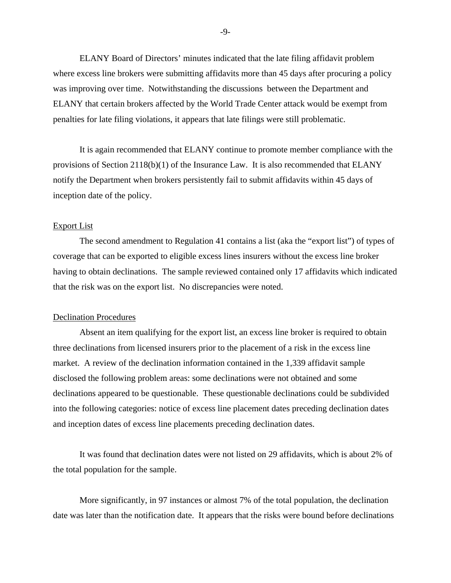ELANY Board of Directors' minutes indicated that the late filing affidavit problem where excess line brokers were submitting affidavits more than 45 days after procuring a policy was improving over time. Notwithstanding the discussions between the Department and ELANY that certain brokers affected by the World Trade Center attack would be exempt from penalties for late filing violations, it appears that late filings were still problematic.

It is again recommended that ELANY continue to promote member compliance with the provisions of Section  $2118(b)(1)$  of the Insurance Law. It is also recommended that ELANY notify the Department when brokers persistently fail to submit affidavits within 45 days of inception date of the policy.

#### Export List

The second amendment to Regulation 41 contains a list (aka the "export list") of types of coverage that can be exported to eligible excess lines insurers without the excess line broker having to obtain declinations. The sample reviewed contained only 17 affidavits which indicated that the risk was on the export list. No discrepancies were noted.

#### **Declination Procedures**

Absent an item qualifying for the export list, an excess line broker is required to obtain three declinations from licensed insurers prior to the placement of a risk in the excess line market. A review of the declination information contained in the 1,339 affidavit sample disclosed the following problem areas: some declinations were not obtained and some declinations appeared to be questionable. These questionable declinations could be subdivided into the following categories: notice of excess line placement dates preceding declination dates and inception dates of excess line placements preceding declination dates.

It was found that declination dates were not listed on 29 affidavits, which is about 2% of the total population for the sample.

 More significantly, in 97 instances or almost 7% of the total population, the declination date was later than the notification date. It appears that the risks were bound before declinations

-9-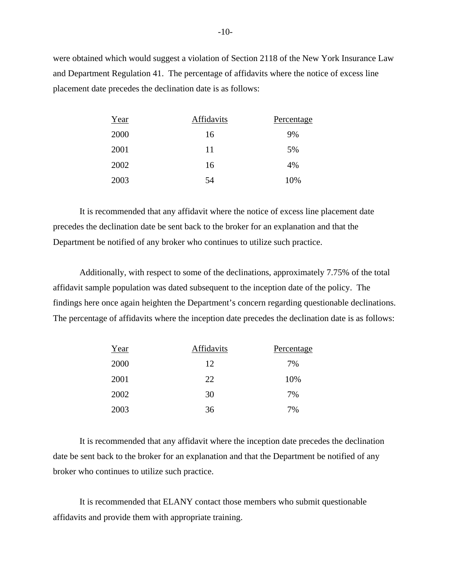were obtained which would suggest a violation of Section 2118 of the New York Insurance Law and Department Regulation 41. The percentage of affidavits where the notice of excess line placement date precedes the declination date is as follows:

| Year | Affidavits | Percentage |
|------|------------|------------|
| 2000 | 16         | 9%         |
| 2001 | 11         | 5%         |
| 2002 | 16         | 4%         |
| 2003 | 54         | 10%        |

It is recommended that any affidavit where the notice of excess line placement date precedes the declination date be sent back to the broker for an explanation and that the Department be notified of any broker who continues to utilize such practice.

 findings here once again heighten the Department's concern regarding questionable declinations. The percentage of affidavits where the inception date precedes the declination date is as follows: Additionally, with respect to some of the declinations, approximately 7.75% of the total affidavit sample population was dated subsequent to the inception date of the policy. The

| Year | Affidavits | Percentage |
|------|------------|------------|
| 2000 | 12         | 7%         |
| 2001 | 22         | 10%        |
| 2002 | 30         | 7%         |
| 2003 | 36         | 7%         |

It is recommended that any affidavit where the inception date precedes the declination date be sent back to the broker for an explanation and that the Department be notified of any broker who continues to utilize such practice.

It is recommended that ELANY contact those members who submit questionable affidavits and provide them with appropriate training.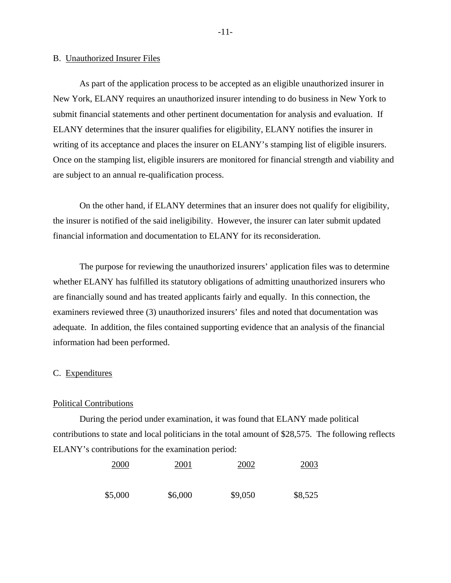#### B. Unauthorized Insurer Files

As part of the application process to be accepted as an eligible unauthorized insurer in New York, ELANY requires an unauthorized insurer intending to do business in New York to submit financial statements and other pertinent documentation for analysis and evaluation. If ELANY determines that the insurer qualifies for eligibility, ELANY notifies the insurer in writing of its acceptance and places the insurer on ELANY's stamping list of eligible insurers. Once on the stamping list, eligible insurers are monitored for financial strength and viability and are subject to an annual re-qualification process.

On the other hand, if ELANY determines that an insurer does not qualify for eligibility, the insurer is notified of the said ineligibility. However, the insurer can later submit updated financial information and documentation to ELANY for its reconsideration.

The purpose for reviewing the unauthorized insurers' application files was to determine whether ELANY has fulfilled its statutory obligations of admitting unauthorized insurers who are financially sound and has treated applicants fairly and equally. In this connection, the examiners reviewed three (3) unauthorized insurers' files and noted that documentation was adequate. In addition, the files contained supporting evidence that an analysis of the financial information had been performed.

#### C. Expenditures

#### Political Contributions

During the period under examination, it was found that ELANY made political contributions to state and local politicians in the total amount of \$28,575. The following reflects ELANY's contributions for the examination period:

| 2000    | 2001    | 2002    | 2003    |
|---------|---------|---------|---------|
| \$5,000 | \$6,000 | \$9,050 | \$8,525 |

-11-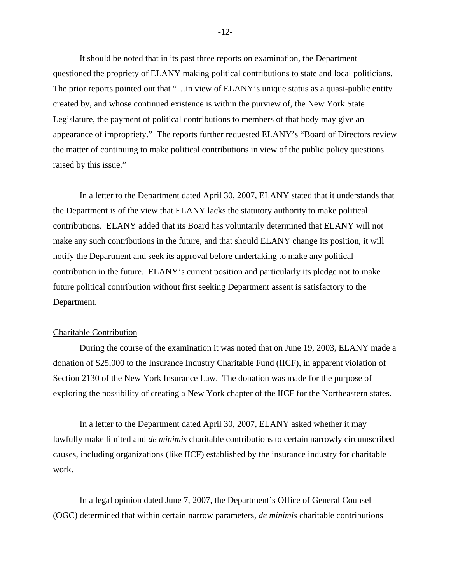It should be noted that in its past three reports on examination, the Department questioned the propriety of ELANY making political contributions to state and local politicians. The prior reports pointed out that "... in view of ELANY's unique status as a quasi-public entity created by, and whose continued existence is within the purview of, the New York State Legislature, the payment of political contributions to members of that body may give an appearance of impropriety." The reports further requested ELANY's "Board of Directors review the matter of continuing to make political contributions in view of the public policy questions raised by this issue."

In a letter to the Department dated April 30, 2007, ELANY stated that it understands that the Department is of the view that ELANY lacks the statutory authority to make political contributions. ELANY added that its Board has voluntarily determined that ELANY will not make any such contributions in the future, and that should ELANY change its position, it will notify the Department and seek its approval before undertaking to make any political contribution in the future. ELANY's current position and particularly its pledge not to make future political contribution without first seeking Department assent is satisfactory to the Department.

#### Charitable Contribution

During the course of the examination it was noted that on June 19, 2003, ELANY made a donation of \$25,000 to the Insurance Industry Charitable Fund (IICF), in apparent violation of Section 2130 of the New York Insurance Law. The donation was made for the purpose of exploring the possibility of creating a New York chapter of the IICF for the Northeastern states.

In a letter to the Department dated April 30, 2007, ELANY asked whether it may lawfully make limited and *de minimis* charitable contributions to certain narrowly circumscribed causes, including organizations (like IICF) established by the insurance industry for charitable work.

In a legal opinion dated June 7, 2007, the Department's Office of General Counsel (OGC) determined that within certain narrow parameters, *de minimis* charitable contributions

-12-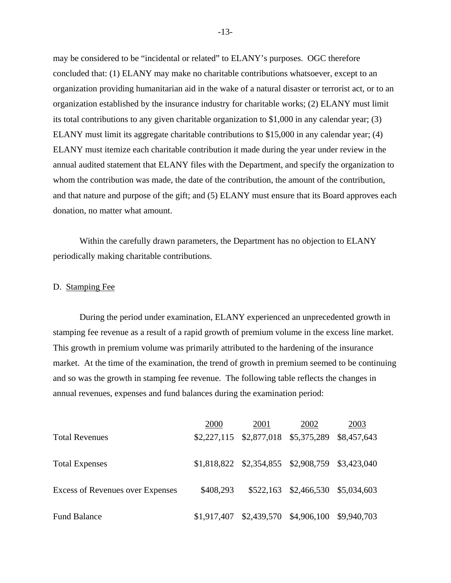may be considered to be "incidental or related" to ELANY's purposes. OGC therefore concluded that: (1) ELANY may make no charitable contributions whatsoever, except to an organization providing humanitarian aid in the wake of a natural disaster or terrorist act, or to an organization established by the insurance industry for charitable works; (2) ELANY must limit its total contributions to any given charitable organization to \$1,000 in any calendar year; (3) ELANY must limit its aggregate charitable contributions to \$15,000 in any calendar year; (4) ELANY must itemize each charitable contribution it made during the year under review in the annual audited statement that ELANY files with the Department, and specify the organization to whom the contribution was made, the date of the contribution, the amount of the contribution, and that nature and purpose of the gift; and (5) ELANY must ensure that its Board approves each donation, no matter what amount.

Within the carefully drawn parameters, the Department has no objection to ELANY periodically making charitable contributions.

#### D. Stamping Fee

During the period under examination, ELANY experienced an unprecedented growth in stamping fee revenue as a result of a rapid growth of premium volume in the excess line market. This growth in premium volume was primarily attributed to the hardening of the insurance market. At the time of the examination, the trend of growth in premium seemed to be continuing and so was the growth in stamping fee revenue. The following table reflects the changes in annual revenues, expenses and fund balances during the examination period:

|                                  | 2000      | 2001                                                | 2002                              | 2003 |
|----------------------------------|-----------|-----------------------------------------------------|-----------------------------------|------|
| <b>Total Revenues</b>            |           | \$2,227,115 \$2,877,018 \$5,375,289 \$8,457,643     |                                   |      |
| <b>Total Expenses</b>            |           | \$1,818,822 \$2,354,855 \$2,908,759 \$3,423,040     |                                   |      |
| Excess of Revenues over Expenses | \$408,293 |                                                     | \$522,163 \$2,466,530 \$5,034,603 |      |
| <b>Fund Balance</b>              |           | $$1,917,407$ $$2,439,570$ $$4,906,100$ $$9,940,703$ |                                   |      |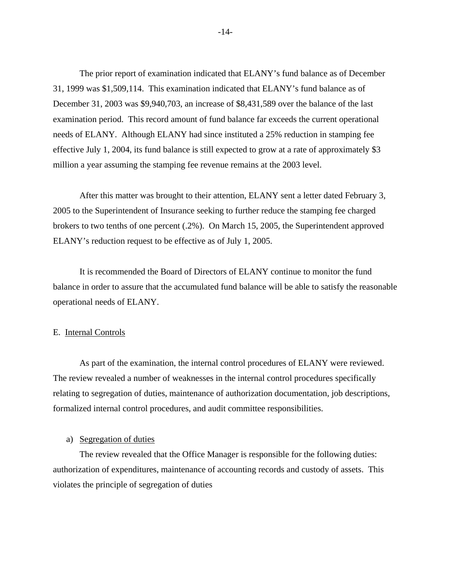The prior report of examination indicated that ELANY's fund balance as of December 31, 1999 was \$1,509,114. This examination indicated that ELANY's fund balance as of December 31, 2003 was \$9,940,703, an increase of \$8,431,589 over the balance of the last examination period. This record amount of fund balance far exceeds the current operational needs of ELANY. Although ELANY had since instituted a 25% reduction in stamping fee effective July 1, 2004, its fund balance is still expected to grow at a rate of approximately \$3 million a year assuming the stamping fee revenue remains at the 2003 level.

After this matter was brought to their attention, ELANY sent a letter dated February 3, 2005 to the Superintendent of Insurance seeking to further reduce the stamping fee charged brokers to two tenths of one percent (.2%). On March 15, 2005, the Superintendent approved ELANY's reduction request to be effective as of July 1, 2005.

It is recommended the Board of Directors of ELANY continue to monitor the fund balance in order to assure that the accumulated fund balance will be able to satisfy the reasonable operational needs of ELANY.

#### E. Internal Controls

As part of the examination, the internal control procedures of ELANY were reviewed. The review revealed a number of weaknesses in the internal control procedures specifically relating to segregation of duties, maintenance of authorization documentation, job descriptions, formalized internal control procedures, and audit committee responsibilities.

#### a) Segregation of duties

The review revealed that the Office Manager is responsible for the following duties: authorization of expenditures, maintenance of accounting records and custody of assets. This violates the principle of segregation of duties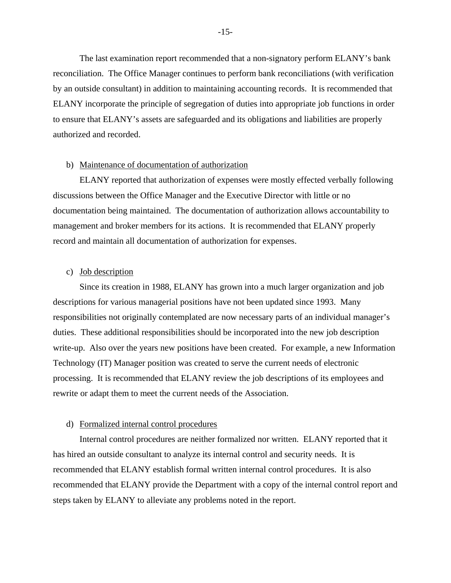The last examination report recommended that a non-signatory perform ELANY's bank reconciliation. The Office Manager continues to perform bank reconciliations (with verification by an outside consultant) in addition to maintaining accounting records. It is recommended that ELANY incorporate the principle of segregation of duties into appropriate job functions in order to ensure that ELANY's assets are safeguarded and its obligations and liabilities are properly authorized and recorded.

#### b) Maintenance of documentation of authorization

ELANY reported that authorization of expenses were mostly effected verbally following discussions between the Office Manager and the Executive Director with little or no documentation being maintained. The documentation of authorization allows accountability to management and broker members for its actions. It is recommended that ELANY properly record and maintain all documentation of authorization for expenses.

#### c) Job description

Since its creation in 1988, ELANY has grown into a much larger organization and job descriptions for various managerial positions have not been updated since 1993. Many responsibilities not originally contemplated are now necessary parts of an individual manager's duties. These additional responsibilities should be incorporated into the new job description write-up. Also over the years new positions have been created. For example, a new Information Technology (IT) Manager position was created to serve the current needs of electronic processing. It is recommended that ELANY review the job descriptions of its employees and rewrite or adapt them to meet the current needs of the Association.

#### d) Formalized internal control procedures

Internal control procedures are neither formalized nor written. ELANY reported that it has hired an outside consultant to analyze its internal control and security needs. It is recommended that ELANY establish formal written internal control procedures. It is also recommended that ELANY provide the Department with a copy of the internal control report and steps taken by ELANY to alleviate any problems noted in the report.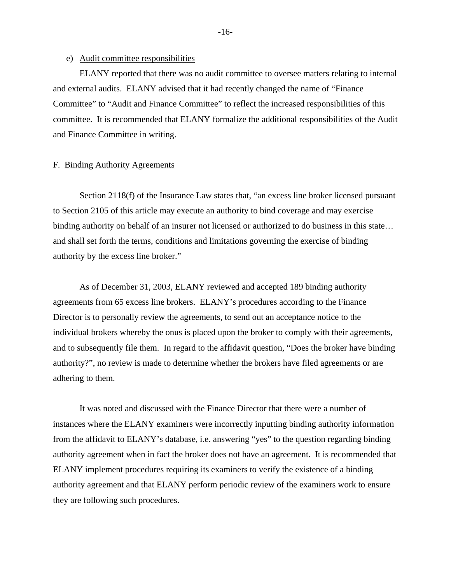#### e) Audit committee responsibilities

ELANY reported that there was no audit committee to oversee matters relating to internal and external audits. ELANY advised that it had recently changed the name of "Finance Committee" to "Audit and Finance Committee" to reflect the increased responsibilities of this committee. It is recommended that ELANY formalize the additional responsibilities of the Audit and Finance Committee in writing.

#### F. Binding Authority Agreements

Section 2118(f) of the Insurance Law states that, "an excess line broker licensed pursuant to Section 2105 of this article may execute an authority to bind coverage and may exercise binding authority on behalf of an insurer not licensed or authorized to do business in this state… and shall set forth the terms, conditions and limitations governing the exercise of binding authority by the excess line broker."

As of December 31, 2003, ELANY reviewed and accepted 189 binding authority agreements from 65 excess line brokers. ELANY's procedures according to the Finance Director is to personally review the agreements, to send out an acceptance notice to the individual brokers whereby the onus is placed upon the broker to comply with their agreements, and to subsequently file them. In regard to the affidavit question, "Does the broker have binding authority?", no review is made to determine whether the brokers have filed agreements or are adhering to them.

It was noted and discussed with the Finance Director that there were a number of instances where the ELANY examiners were incorrectly inputting binding authority information from the affidavit to ELANY's database, i.e. answering "yes" to the question regarding binding authority agreement when in fact the broker does not have an agreement. It is recommended that ELANY implement procedures requiring its examiners to verify the existence of a binding authority agreement and that ELANY perform periodic review of the examiners work to ensure they are following such procedures.

-16-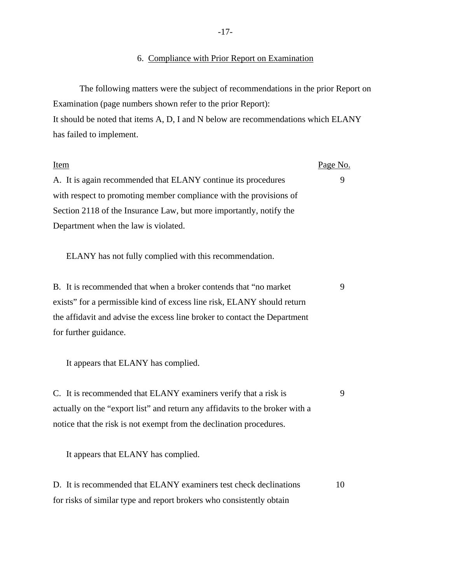# 6. Compliance with Prior Report on Examination

The following matters were the subject of recommendations in the prior Report on Examination (page numbers shown refer to the prior Report): It should be noted that items A, D, I and N below are recommendations which ELANY has failed to implement.

| <b>Item</b>                                                                  |    |
|------------------------------------------------------------------------------|----|
| A. It is again recommended that ELANY continue its procedures                | 9  |
| with respect to promoting member compliance with the provisions of           |    |
| Section 2118 of the Insurance Law, but more importantly, notify the          |    |
| Department when the law is violated.                                         |    |
| ELANY has not fully complied with this recommendation.                       |    |
| B. It is recommended that when a broker contends that "no market"            | 9  |
| exists" for a permissible kind of excess line risk, ELANY should return      |    |
| the affidavit and advise the excess line broker to contact the Department    |    |
| for further guidance.                                                        |    |
| It appears that ELANY has complied.                                          |    |
| C. It is recommended that ELANY examiners verify that a risk is              | 9  |
| actually on the "export list" and return any affidavits to the broker with a |    |
| notice that the risk is not exempt from the declination procedures.          |    |
| It appears that ELANY has complied.                                          |    |
| D. It is recommended that ELANY examiners test check declinations            | 10 |
| for risks of similar type and report brokers who consistently obtain         |    |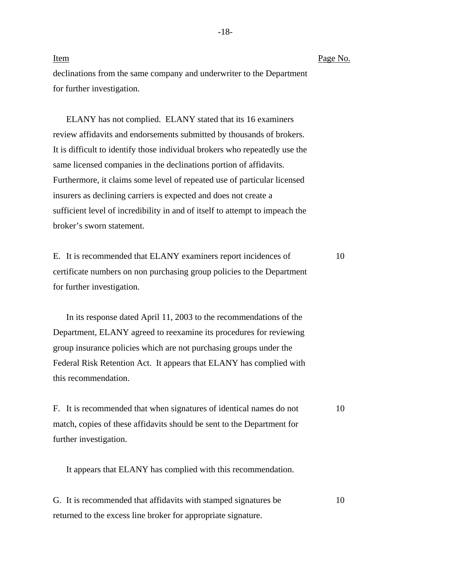Item Item Page No. declinations from the same company and underwriter to the Department for further investigation.

ELANY has not complied. ELANY stated that its 16 examiners review affidavits and endorsements submitted by thousands of brokers. It is difficult to identify those individual brokers who repeatedly use the same licensed companies in the declinations portion of affidavits. Furthermore, it claims some level of repeated use of particular licensed insurers as declining carriers is expected and does not create a sufficient level of incredibility in and of itself to attempt to impeach the broker's sworn statement.

E. It is recommended that ELANY examiners report incidences of 10 certificate numbers on non purchasing group policies to the Department for further investigation.

In its response dated April 11, 2003 to the recommendations of the Department, ELANY agreed to reexamine its procedures for reviewing group insurance policies which are not purchasing groups under the Federal Risk Retention Act. It appears that ELANY has complied with this recommendation.

F. It is recommended that when signatures of identical names do not 10 match, copies of these affidavits should be sent to the Department for further investigation.

It appears that ELANY has complied with this recommendation.

G. It is recommended that affidavits with stamped signatures be 10 returned to the excess line broker for appropriate signature.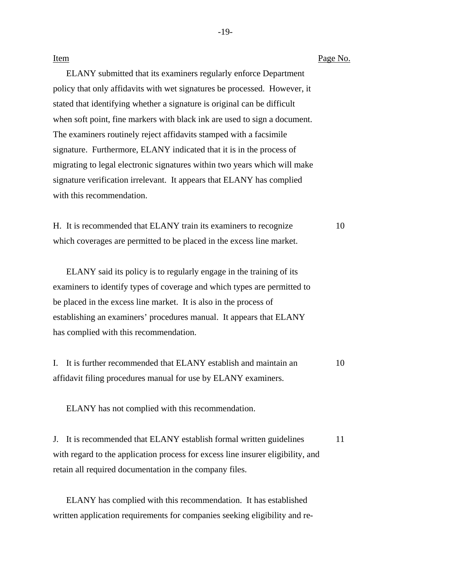| Item                                                                      | Page No. |  |
|---------------------------------------------------------------------------|----------|--|
| ELANY submitted that its examiners regularly enforce Department           |          |  |
| policy that only affidavits with wet signatures be processed. However, it |          |  |
| stated that identifying whether a signature is original can be difficult  |          |  |
| when soft point, fine markers with black ink are used to sign a document. |          |  |
| The examiners routinely reject affidavits stamped with a facsimile        |          |  |
| signature. Furthermore, ELANY indicated that it is in the process of      |          |  |
| migrating to legal electronic signatures within two years which will make |          |  |
| signature verification irrelevant. It appears that ELANY has complied     |          |  |
| with this recommendation.                                                 |          |  |
|                                                                           |          |  |

H. It is recommended that ELANY train its examiners to recognize 10 which coverages are permitted to be placed in the excess line market.

ELANY said its policy is to regularly engage in the training of its examiners to identify types of coverage and which types are permitted to be placed in the excess line market. It is also in the process of establishing an examiners' procedures manual. It appears that ELANY has complied with this recommendation.

I. It is further recommended that ELANY establish and maintain an 10 affidavit filing procedures manual for use by ELANY examiners.

ELANY has not complied with this recommendation.

J. It is recommended that ELANY establish formal written guidelines 11 with regard to the application process for excess line insurer eligibility, and retain all required documentation in the company files.

ELANY has complied with this recommendation. It has established written application requirements for companies seeking eligibility and re-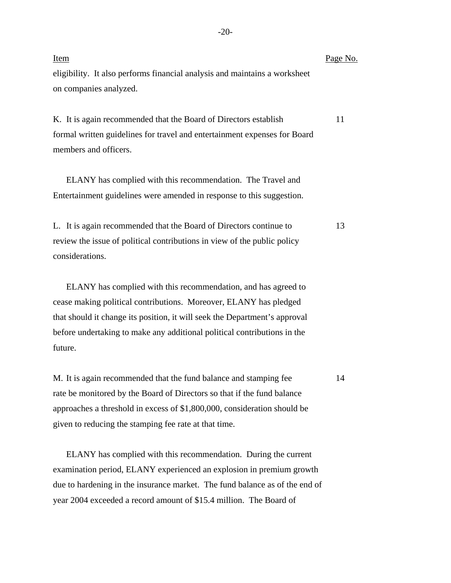| <u>Item</u>                                                                | Page No. |
|----------------------------------------------------------------------------|----------|
| eligibility. It also performs financial analysis and maintains a worksheet |          |
| on companies analyzed.                                                     |          |

K. It is again recommended that the Board of Directors establish 11 formal written guidelines for travel and entertainment expenses for Board members and officers.

ELANY has complied with this recommendation. The Travel and Entertainment guidelines were amended in response to this suggestion.

L. It is again recommended that the Board of Directors continue to 13 review the issue of political contributions in view of the public policy considerations.

ELANY has complied with this recommendation, and has agreed to cease making political contributions. Moreover, ELANY has pledged that should it change its position, it will seek the Department's approval before undertaking to make any additional political contributions in the future.

M. It is again recommended that the fund balance and stamping fee 14 rate be monitored by the Board of Directors so that if the fund balance approaches a threshold in excess of \$1,800,000, consideration should be given to reducing the stamping fee rate at that time.

ELANY has complied with this recommendation. During the current examination period, ELANY experienced an explosion in premium growth due to hardening in the insurance market. The fund balance as of the end of year 2004 exceeded a record amount of \$15.4 million. The Board of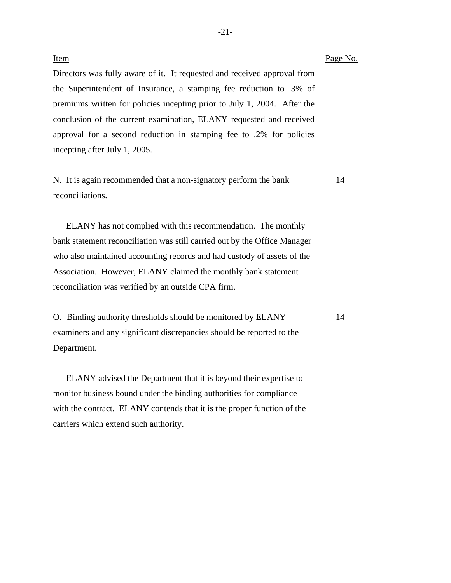# Item Page No. Directors was fully aware of it. It requested and received approval from the Superintendent of Insurance, a stamping fee reduction to .3% of premiums written for policies incepting prior to July 1, 2004. After the conclusion of the current examination, ELANY requested and received approval for a second reduction in stamping fee to .2% for policies incepting after July 1, 2005.

N. It is again recommended that a non-signatory perform the bank 14 reconciliations.

ELANY has not complied with this recommendation. The monthly bank statement reconciliation was still carried out by the Office Manager who also maintained accounting records and had custody of assets of the Association. However, ELANY claimed the monthly bank statement reconciliation was verified by an outside CPA firm.

O. Binding authority thresholds should be monitored by ELANY 14 examiners and any significant discrepancies should be reported to the Department.

ELANY advised the Department that it is beyond their expertise to monitor business bound under the binding authorities for compliance with the contract. ELANY contends that it is the proper function of the carriers which extend such authority.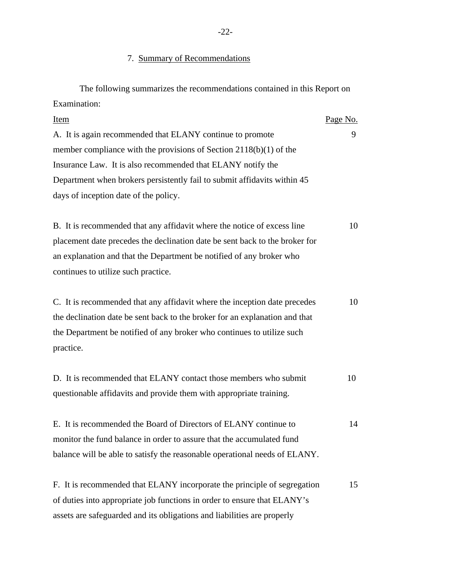### 7. Summary of Recommendations

| The following summarizes the recommendations contained in this Report on    |          |  |
|-----------------------------------------------------------------------------|----------|--|
| Examination:                                                                |          |  |
| Item                                                                        | Page No. |  |
| A. It is again recommended that ELANY continue to promote                   | 9        |  |
| member compliance with the provisions of Section $2118(b)(1)$ of the        |          |  |
| Insurance Law. It is also recommended that ELANY notify the                 |          |  |
| Department when brokers persistently fail to submit affidavits within 45    |          |  |
| days of inception date of the policy.                                       |          |  |
|                                                                             |          |  |
| B. It is recommended that any affidavit where the notice of excess line     | 10       |  |
| placement date precedes the declination date be sent back to the broker for |          |  |
| an explanation and that the Department be notified of any broker who        |          |  |
| continues to utilize such practice.                                         |          |  |

| C. It is recommended that any affidavit where the inception date precedes   | 10 |
|-----------------------------------------------------------------------------|----|
| the declination date be sent back to the broker for an explanation and that |    |
| the Department be notified of any broker who continues to utilize such      |    |
| practice.                                                                   |    |

| D. It is recommended that ELANY contact those members who submit    | 10 |
|---------------------------------------------------------------------|----|
| questionable affidavits and provide them with appropriate training. |    |

E. It is recommended the Board of Directors of ELANY continue to 14 monitor the fund balance in order to assure that the accumulated fund balance will be able to satisfy the reasonable operational needs of ELANY.

F. It is recommended that ELANY incorporate the principle of segregation 15 of duties into appropriate job functions in order to ensure that ELANY's assets are safeguarded and its obligations and liabilities are properly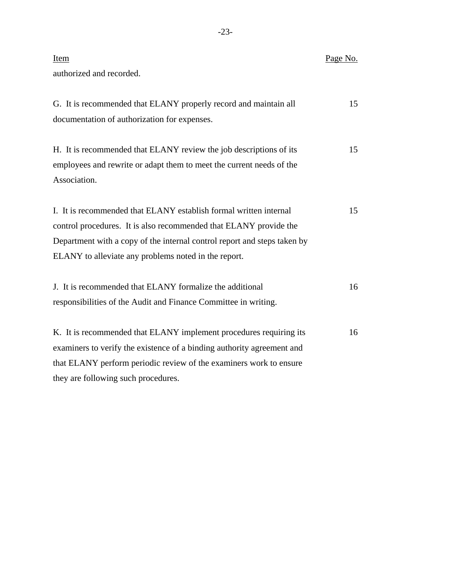| Item<br>authorized and recorded.                                                                                                                                                                                                                                           | Page No. |
|----------------------------------------------------------------------------------------------------------------------------------------------------------------------------------------------------------------------------------------------------------------------------|----------|
| G. It is recommended that ELANY properly record and maintain all<br>documentation of authorization for expenses.                                                                                                                                                           | 15       |
| H. It is recommended that ELANY review the job descriptions of its<br>employees and rewrite or adapt them to meet the current needs of the<br>Association.                                                                                                                 | 15       |
| I. It is recommended that ELANY establish formal written internal<br>control procedures. It is also recommended that ELANY provide the<br>Department with a copy of the internal control report and steps taken by<br>ELANY to alleviate any problems noted in the report. | 15       |
| J. It is recommended that ELANY formalize the additional<br>responsibilities of the Audit and Finance Committee in writing.                                                                                                                                                | 16       |
| K. It is recommended that ELANY implement procedures requiring its<br>examiners to verify the existence of a binding authority agreement and<br>that ELANY perform periodic review of the examiners work to ensure<br>they are following such procedures.                  | 16       |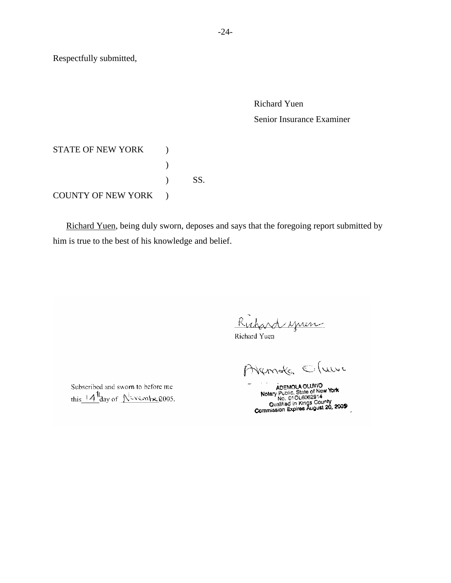Respectfully submitted,

Richard Yuen Senior Insurance Examiner

STATE OF NEW YORK ) ) ) SS. COUNTY OF NEW YORK )

 Richard Yuen, being duly sworn, deposes and says that the foregoing report submitted by him is true to the best of his knowledge and belief.

Richard yuen

Richard Yuen

Avende Cluve

ADEMOLA OLUMU **Notary Public, State of New York 1998**<br>
Qualified in Kings County<br>
Commission Expires August 20, 2009

Subscribed and sworn to before me this  $4\frac{1}{2}$  day of Nevembe 2005.